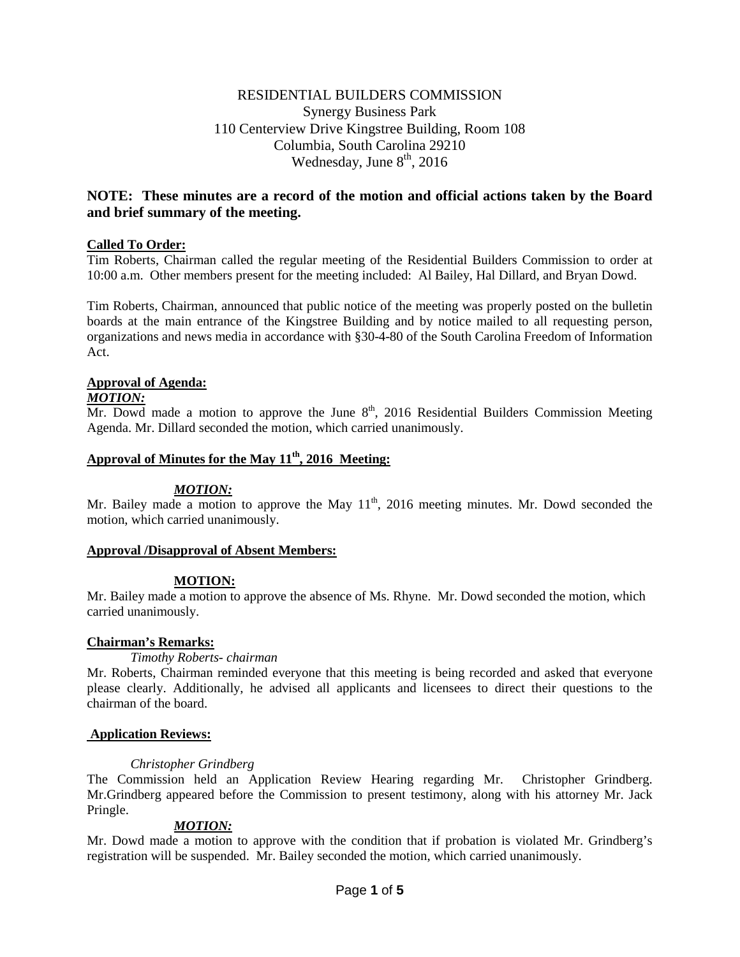# RESIDENTIAL BUILDERS COMMISSION Synergy Business Park 110 Centerview Drive Kingstree Building, Room 108 Columbia, South Carolina 29210 Wednesday, June  $8<sup>th</sup>$ , 2016

# **NOTE: These minutes are a record of the motion and official actions taken by the Board and brief summary of the meeting.**

## **Called To Order:**

Tim Roberts, Chairman called the regular meeting of the Residential Builders Commission to order at 10:00 a.m. Other members present for the meeting included: Al Bailey, Hal Dillard, and Bryan Dowd.

Tim Roberts, Chairman, announced that public notice of the meeting was properly posted on the bulletin boards at the main entrance of the Kingstree Building and by notice mailed to all requesting person, organizations and news media in accordance with §30-4-80 of the South Carolina Freedom of Information Act.

## **Approval of Agenda:**

### *MOTION:*

Mr. Dowd made a motion to approve the June  $8<sup>th</sup>$ , 2016 Residential Builders Commission Meeting Agenda. Mr. Dillard seconded the motion, which carried unanimously.

# Approval of Minutes for the May 11<sup>th</sup>, 2016 Meeting:

### *MOTION:*

Mr. Bailey made a motion to approve the May  $11<sup>th</sup>$ , 2016 meeting minutes. Mr. Dowd seconded the motion, which carried unanimously.

### **Approval /Disapproval of Absent Members:**

### **MOTION:**

Mr. Bailey made a motion to approve the absence of Ms. Rhyne. Mr. Dowd seconded the motion, which carried unanimously.

### **Chairman's Remarks:**

#### *Timothy Roberts- chairman*

Mr. Roberts, Chairman reminded everyone that this meeting is being recorded and asked that everyone please clearly. Additionally, he advised all applicants and licensees to direct their questions to the chairman of the board.

### **Application Reviews:**

### *Christopher Grindberg*

The Commission held an Application Review Hearing regarding Mr. Christopher Grindberg. Mr.Grindberg appeared before the Commission to present testimony, along with his attorney Mr. Jack Pringle.

### *MOTION:*

Mr. Dowd made a motion to approve with the condition that if probation is violated Mr. Grindberg's registration will be suspended. Mr. Bailey seconded the motion, which carried unanimously.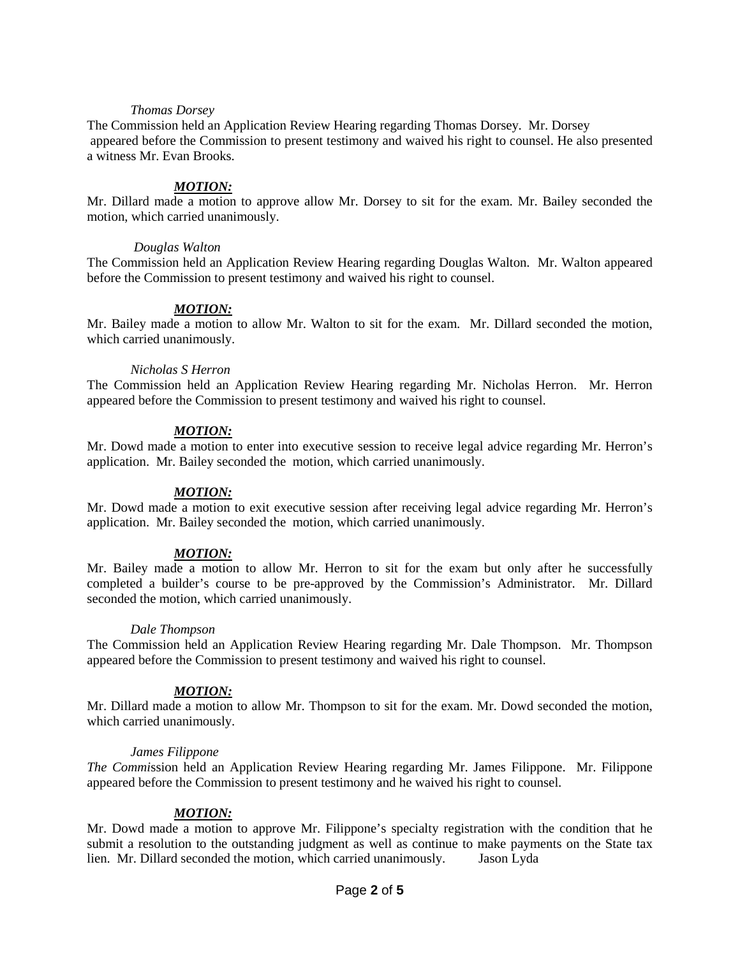#### *Thomas Dorsey*

The Commission held an Application Review Hearing regarding Thomas Dorsey. Mr. Dorsey appeared before the Commission to present testimony and waived his right to counsel. He also presented a witness Mr. Evan Brooks.

### *MOTION:*

Mr. Dillard made a motion to approve allow Mr. Dorsey to sit for the exam. Mr. Bailey seconded the motion, which carried unanimously.

#### *Douglas Walton*

The Commission held an Application Review Hearing regarding Douglas Walton. Mr. Walton appeared before the Commission to present testimony and waived his right to counsel.

#### *MOTION:*

Mr. Bailey made a motion to allow Mr. Walton to sit for the exam. Mr. Dillard seconded the motion, which carried unanimously.

#### *Nicholas S Herron*

The Commission held an Application Review Hearing regarding Mr. Nicholas Herron. Mr. Herron appeared before the Commission to present testimony and waived his right to counsel.

### *MOTION:*

Mr. Dowd made a motion to enter into executive session to receive legal advice regarding Mr. Herron's application. Mr. Bailey seconded the motion, which carried unanimously.

### *MOTION:*

Mr. Dowd made a motion to exit executive session after receiving legal advice regarding Mr. Herron's application. Mr. Bailey seconded the motion, which carried unanimously.

#### *MOTION:*

Mr. Bailey made a motion to allow Mr. Herron to sit for the exam but only after he successfully completed a builder's course to be pre-approved by the Commission's Administrator. Mr. Dillard seconded the motion, which carried unanimously.

#### *Dale Thompson*

The Commission held an Application Review Hearing regarding Mr. Dale Thompson. Mr. Thompson appeared before the Commission to present testimony and waived his right to counsel.

### *MOTION:*

Mr. Dillard made a motion to allow Mr. Thompson to sit for the exam. Mr. Dowd seconded the motion, which carried unanimously.

#### *James Filippone*

*The Commi*ssion held an Application Review Hearing regarding Mr. James Filippone. Mr. Filippone appeared before the Commission to present testimony and he waived his right to counsel.

#### *MOTION:*

Mr. Dowd made a motion to approve Mr. Filippone's specialty registration with the condition that he submit a resolution to the outstanding judgment as well as continue to make payments on the State tax lien. Mr. Dillard seconded the motion, which carried unanimously. Jason Lyda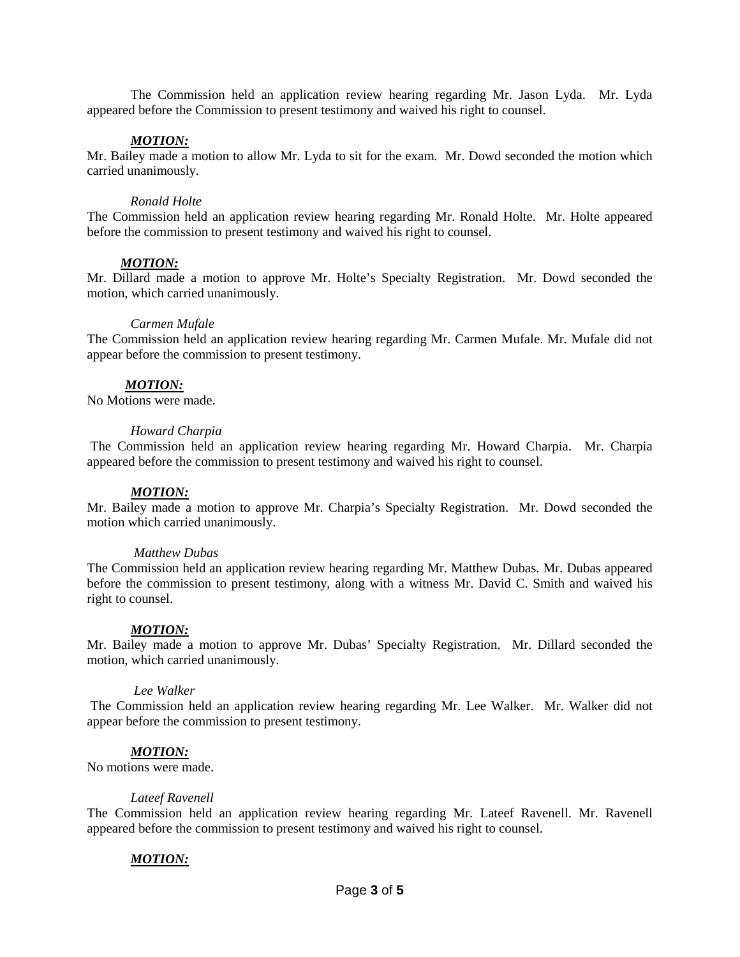The Commission held an application review hearing regarding Mr. Jason Lyda. Mr. Lyda appeared before the Commission to present testimony and waived his right to counsel.

#### *MOTION:*

Mr. Bailey made a motion to allow Mr. Lyda to sit for the exam. Mr. Dowd seconded the motion which carried unanimously.

#### *Ronald Holte*

The Commission held an application review hearing regarding Mr. Ronald Holte. Mr. Holte appeared before the commission to present testimony and waived his right to counsel.

#### *MOTION:*

Mr. Dillard made a motion to approve Mr. Holte's Specialty Registration. Mr. Dowd seconded the motion, which carried unanimously.

#### *Carmen Mufale*

The Commission held an application review hearing regarding Mr. Carmen Mufale. Mr. Mufale did not appear before the commission to present testimony.

### *MOTION:*

No Motions were made.

#### *Howard Charpia*

The Commission held an application review hearing regarding Mr. Howard Charpia. Mr. Charpia appeared before the commission to present testimony and waived his right to counsel.

### *MOTION:*

Mr. Bailey made a motion to approve Mr. Charpia's Specialty Registration. Mr. Dowd seconded the motion which carried unanimously.

#### *Matthew Dubas*

The Commission held an application review hearing regarding Mr. Matthew Dubas. Mr. Dubas appeared before the commission to present testimony, along with a witness Mr. David C. Smith and waived his right to counsel.

### *MOTION:*

Mr. Bailey made a motion to approve Mr. Dubas' Specialty Registration. Mr. Dillard seconded the motion, which carried unanimously.

#### *Lee Walker*

The Commission held an application review hearing regarding Mr. Lee Walker. Mr. Walker did not appear before the commission to present testimony.

#### *MOTION:*

No motions were made.

#### *Lateef Ravenell*

The Commission held an application review hearing regarding Mr. Lateef Ravenell. Mr. Ravenell appeared before the commission to present testimony and waived his right to counsel.

### *MOTION:*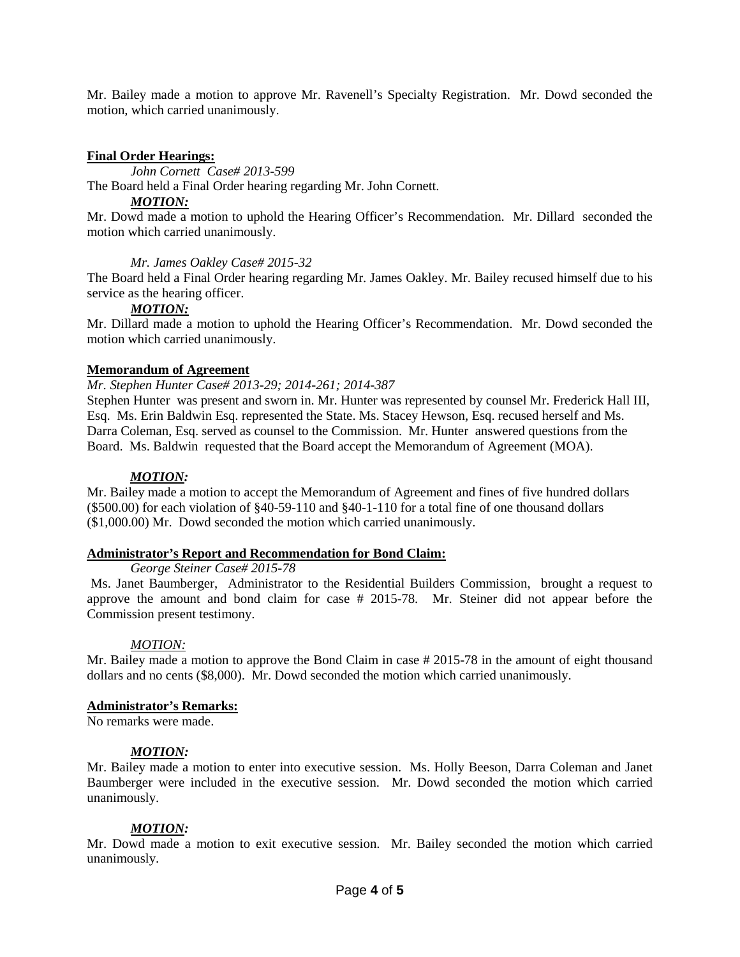Mr. Bailey made a motion to approve Mr. Ravenell's Specialty Registration. Mr. Dowd seconded the motion, which carried unanimously.

### **Final Order Hearings:**

*John Cornett Case# 2013-599*

The Board held a Final Order hearing regarding Mr. John Cornett.

### *MOTION:*

Mr. Dowd made a motion to uphold the Hearing Officer's Recommendation. Mr. Dillard seconded the motion which carried unanimously.

### *Mr. James Oakley Case# 2015-32*

The Board held a Final Order hearing regarding Mr. James Oakley. Mr. Bailey recused himself due to his service as the hearing officer.

### *MOTION:*

Mr. Dillard made a motion to uphold the Hearing Officer's Recommendation. Mr. Dowd seconded the motion which carried unanimously.

### **Memorandum of Agreement**

#### *Mr. Stephen Hunter Case# 2013-29; 2014-261; 2014-387*

Stephen Hunter was present and sworn in. Mr. Hunter was represented by counsel Mr. Frederick Hall III, Esq. Ms. Erin Baldwin Esq. represented the State. Ms. Stacey Hewson, Esq. recused herself and Ms. Darra Coleman, Esq. served as counsel to the Commission. Mr. Hunter answered questions from the Board. Ms. Baldwin requested that the Board accept the Memorandum of Agreement (MOA).

#### *MOTION:*

Mr. Bailey made a motion to accept the Memorandum of Agreement and fines of five hundred dollars (\$500.00) for each violation of §40-59-110 and §40-1-110 for a total fine of one thousand dollars (\$1,000.00) Mr. Dowd seconded the motion which carried unanimously.

#### **Administrator's Report and Recommendation for Bond Claim:**

*George Steiner Case# 2015-78*

Ms. Janet Baumberger, Administrator to the Residential Builders Commission, brought a request to approve the amount and bond claim for case # 2015-78. Mr. Steiner did not appear before the Commission present testimony.

### *MOTION:*

Mr. Bailey made a motion to approve the Bond Claim in case # 2015-78 in the amount of eight thousand dollars and no cents (\$8,000). Mr. Dowd seconded the motion which carried unanimously.

### **Administrator's Remarks:**

No remarks were made.

#### *MOTION:*

Mr. Bailey made a motion to enter into executive session. Ms. Holly Beeson, Darra Coleman and Janet Baumberger were included in the executive session. Mr. Dowd seconded the motion which carried unanimously.

#### *MOTION:*

Mr. Dowd made a motion to exit executive session. Mr. Bailey seconded the motion which carried unanimously.